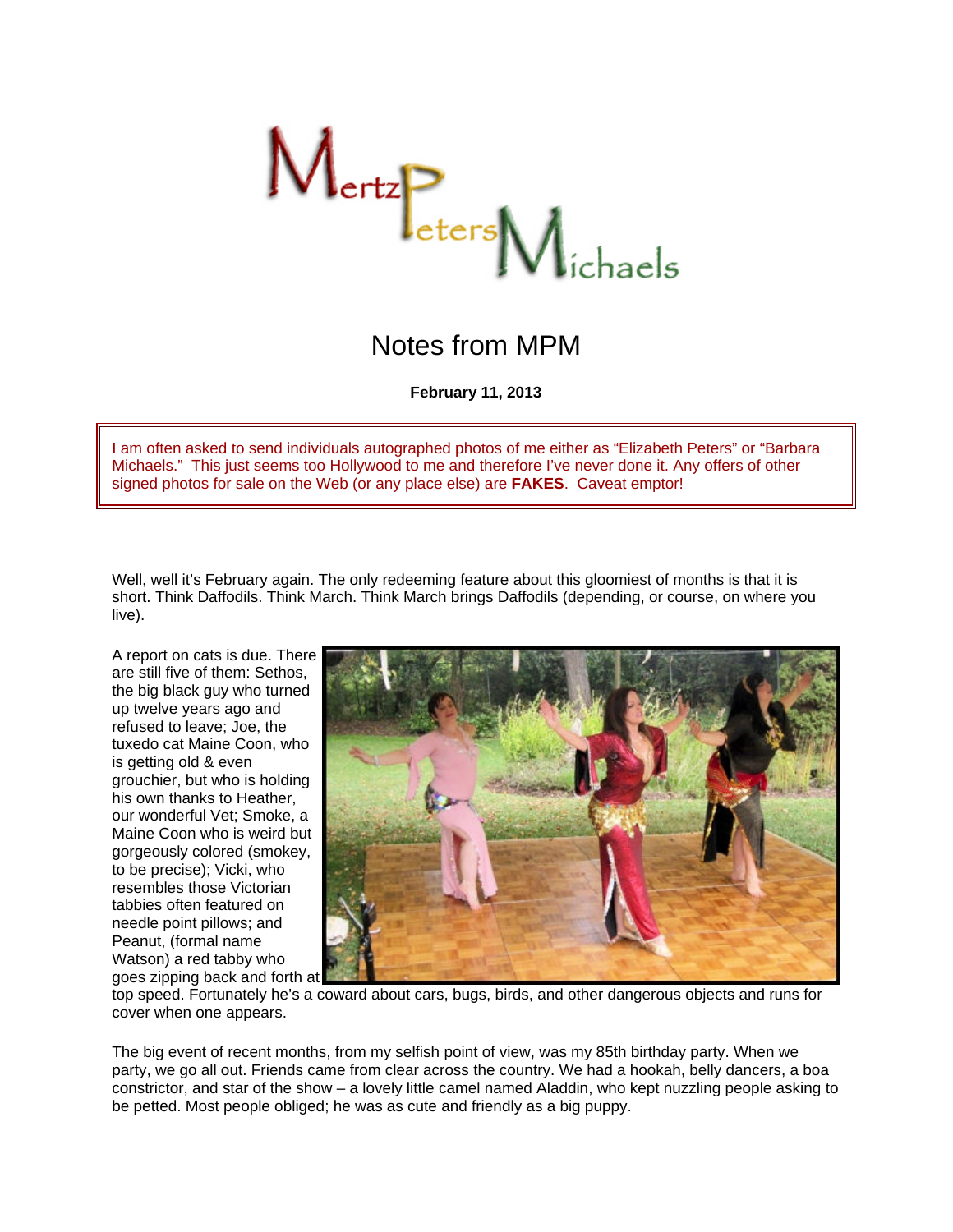

## Notes from MPM

**February 11, 2013**

I am often asked to send individuals autographed photos of me either as "Elizabeth Peters" or "Barbara Michaels." This just seems too Hollywood to me and therefore I've never done it. Any offers of other signed photos for sale on the Web (or any place else) are **FAKES**. Caveat emptor!

Well, well it's February again. The only redeeming feature about this gloomiest of months is that it is short. Think Daffodils. Think March. Think March brings Daffodils (depending, or course, on where you live).

A report on cats is due. There are still five of them: Sethos, the big black guy who turned up twelve years ago and refused to leave; Joe, the tuxedo cat Maine Coon, who is getting old & even grouchier, but who is holding his own thanks to Heather, our wonderful Vet; Smoke, a Maine Coon who is weird but gorgeously colored (smokey, to be precise); Vicki, who resembles those Victorian tabbies often featured on needle point pillows; and Peanut, (formal name Watson) a red tabby who goes zipping back and forth at



top speed. Fortunately he's a coward about cars, bugs, birds, and other dangerous objects and runs for cover when one appears.

The big event of recent months, from my selfish point of view, was my 85th birthday party. When we party, we go all out. Friends came from clear across the country. We had a hookah, belly dancers, a boa constrictor, and star of the show – a lovely little camel named Aladdin, who kept nuzzling people asking to be petted. Most people obliged; he was as cute and friendly as a big puppy.